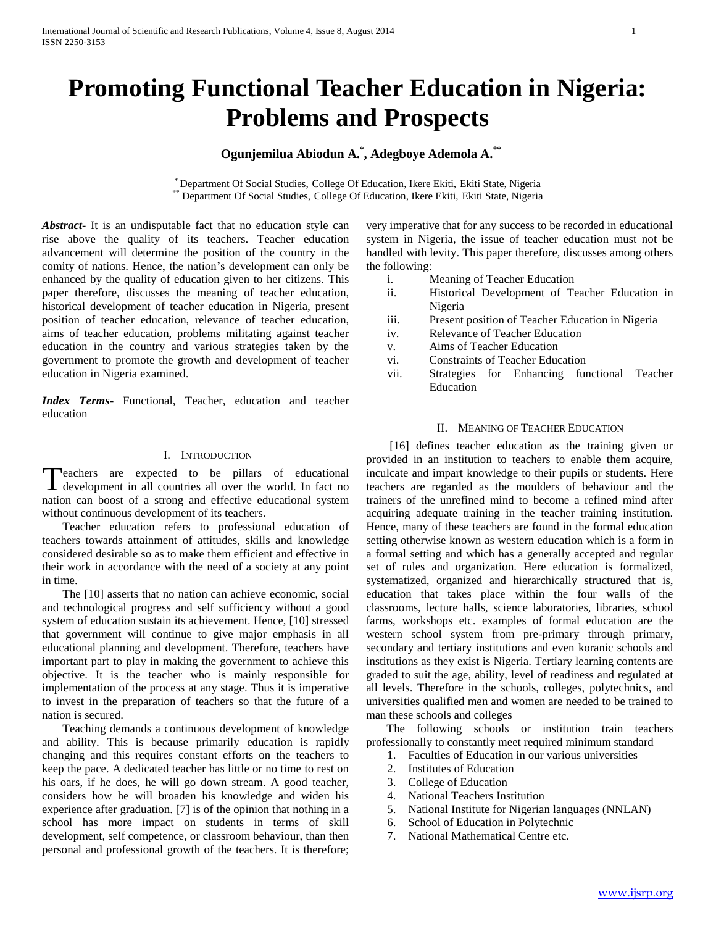# **Promoting Functional Teacher Education in Nigeria: Problems and Prospects**

## **Ogunjemilua Abiodun A.\* , Adegboye Ademola A.\*\***

\* Department Of Social Studies, College Of Education, Ikere Ekiti, Ekiti State, Nigeria \*\* Department Of Social Studies, College Of Education, Ikere Ekiti, Ekiti State, Nigeria

*Abstract***-** It is an undisputable fact that no education style can rise above the quality of its teachers. Teacher education advancement will determine the position of the country in the comity of nations. Hence, the nation's development can only be enhanced by the quality of education given to her citizens. This paper therefore, discusses the meaning of teacher education, historical development of teacher education in Nigeria, present position of teacher education, relevance of teacher education, aims of teacher education, problems militating against teacher education in the country and various strategies taken by the government to promote the growth and development of teacher education in Nigeria examined.

*Index Terms*- Functional, Teacher, education and teacher education

#### I. INTRODUCTION

leachers are expected to be pillars of educational Teachers are expected to be pillars of educational<br>development in all countries all over the world. In fact no nation can boost of a strong and effective educational system without continuous development of its teachers.

 Teacher education refers to professional education of teachers towards attainment of attitudes, skills and knowledge considered desirable so as to make them efficient and effective in their work in accordance with the need of a society at any point in time.

 The [10] asserts that no nation can achieve economic, social and technological progress and self sufficiency without a good system of education sustain its achievement. Hence, [10] stressed that government will continue to give major emphasis in all educational planning and development. Therefore, teachers have important part to play in making the government to achieve this objective. It is the teacher who is mainly responsible for implementation of the process at any stage. Thus it is imperative to invest in the preparation of teachers so that the future of a nation is secured.

 Teaching demands a continuous development of knowledge and ability. This is because primarily education is rapidly changing and this requires constant efforts on the teachers to keep the pace. A dedicated teacher has little or no time to rest on his oars, if he does, he will go down stream. A good teacher, considers how he will broaden his knowledge and widen his experience after graduation. [7] is of the opinion that nothing in a school has more impact on students in terms of skill development, self competence, or classroom behaviour, than then personal and professional growth of the teachers. It is therefore; very imperative that for any success to be recorded in educational system in Nigeria, the issue of teacher education must not be handled with levity. This paper therefore, discusses among others the following:

- i. Meaning of Teacher Education
- ii. Historical Development of Teacher Education in Nigeria
- iii. Present position of Teacher Education in Nigeria
- iv. Relevance of Teacher Education
- v. Aims of Teacher Education
- vi. Constraints of Teacher Education
- vii. Strategies for Enhancing functional Teacher Education

#### II. MEANING OF TEACHER EDUCATION

 [16] defines teacher education as the training given or provided in an institution to teachers to enable them acquire, inculcate and impart knowledge to their pupils or students. Here teachers are regarded as the moulders of behaviour and the trainers of the unrefined mind to become a refined mind after acquiring adequate training in the teacher training institution. Hence, many of these teachers are found in the formal education setting otherwise known as western education which is a form in a formal setting and which has a generally accepted and regular set of rules and organization. Here education is formalized, systematized, organized and hierarchically structured that is, education that takes place within the four walls of the classrooms, lecture halls, science laboratories, libraries, school farms, workshops etc. examples of formal education are the western school system from pre-primary through primary, secondary and tertiary institutions and even koranic schools and institutions as they exist is Nigeria. Tertiary learning contents are graded to suit the age, ability, level of readiness and regulated at all levels. Therefore in the schools, colleges, polytechnics, and universities qualified men and women are needed to be trained to man these schools and colleges

 The following schools or institution train teachers professionally to constantly meet required minimum standard

- 1. Faculties of Education in our various universities
- 2. Institutes of Education
- 3. College of Education
- 4. National Teachers Institution
- 5. National Institute for Nigerian languages (NNLAN)
- 6. School of Education in Polytechnic
- 7. National Mathematical Centre etc.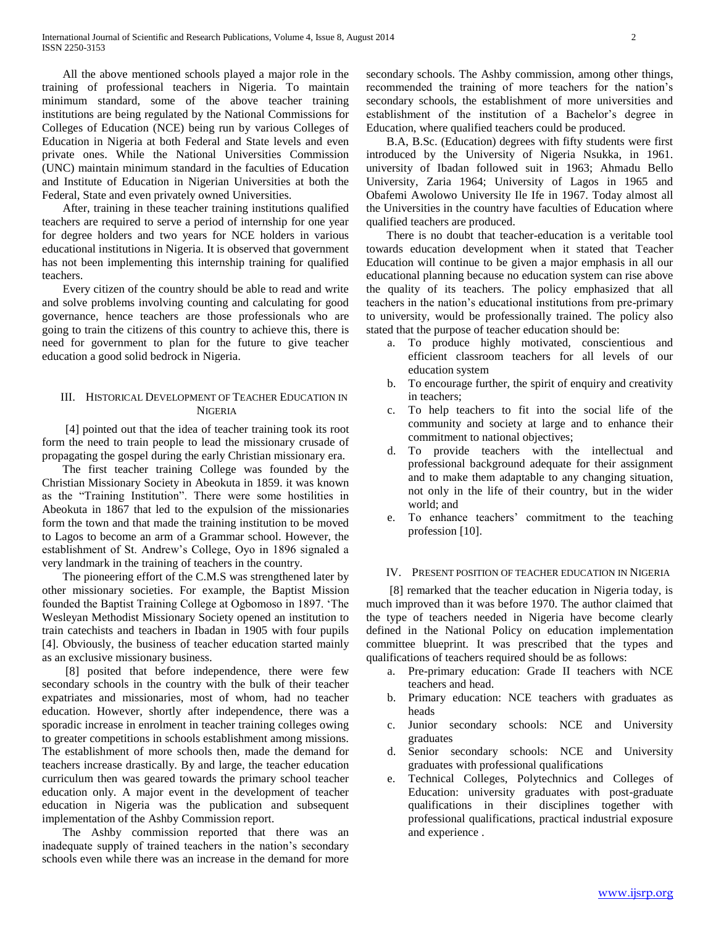All the above mentioned schools played a major role in the training of professional teachers in Nigeria. To maintain minimum standard, some of the above teacher training institutions are being regulated by the National Commissions for Colleges of Education (NCE) being run by various Colleges of Education in Nigeria at both Federal and State levels and even private ones. While the National Universities Commission (UNC) maintain minimum standard in the faculties of Education and Institute of Education in Nigerian Universities at both the Federal, State and even privately owned Universities.

 After, training in these teacher training institutions qualified teachers are required to serve a period of internship for one year for degree holders and two years for NCE holders in various educational institutions in Nigeria. It is observed that government has not been implementing this internship training for qualified teachers.

 Every citizen of the country should be able to read and write and solve problems involving counting and calculating for good governance, hence teachers are those professionals who are going to train the citizens of this country to achieve this, there is need for government to plan for the future to give teacher education a good solid bedrock in Nigeria.

### III. HISTORICAL DEVELOPMENT OF TEACHER EDUCATION IN **NIGERIA**

 [4] pointed out that the idea of teacher training took its root form the need to train people to lead the missionary crusade of propagating the gospel during the early Christian missionary era.

 The first teacher training College was founded by the Christian Missionary Society in Abeokuta in 1859. it was known as the "Training Institution". There were some hostilities in Abeokuta in 1867 that led to the expulsion of the missionaries form the town and that made the training institution to be moved to Lagos to become an arm of a Grammar school. However, the establishment of St. Andrew's College, Oyo in 1896 signaled a very landmark in the training of teachers in the country.

 The pioneering effort of the C.M.S was strengthened later by other missionary societies. For example, the Baptist Mission founded the Baptist Training College at Ogbomoso in 1897. 'The Wesleyan Methodist Missionary Society opened an institution to train catechists and teachers in Ibadan in 1905 with four pupils [4]. Obviously, the business of teacher education started mainly as an exclusive missionary business.

 [8] posited that before independence, there were few secondary schools in the country with the bulk of their teacher expatriates and missionaries, most of whom, had no teacher education. However, shortly after independence, there was a sporadic increase in enrolment in teacher training colleges owing to greater competitions in schools establishment among missions. The establishment of more schools then, made the demand for teachers increase drastically. By and large, the teacher education curriculum then was geared towards the primary school teacher education only. A major event in the development of teacher education in Nigeria was the publication and subsequent implementation of the Ashby Commission report.

 The Ashby commission reported that there was an inadequate supply of trained teachers in the nation's secondary schools even while there was an increase in the demand for more secondary schools. The Ashby commission, among other things, recommended the training of more teachers for the nation's secondary schools, the establishment of more universities and establishment of the institution of a Bachelor's degree in Education, where qualified teachers could be produced.

 B.A, B.Sc. (Education) degrees with fifty students were first introduced by the University of Nigeria Nsukka, in 1961. university of Ibadan followed suit in 1963; Ahmadu Bello University, Zaria 1964; University of Lagos in 1965 and Obafemi Awolowo University Ile Ife in 1967. Today almost all the Universities in the country have faculties of Education where qualified teachers are produced.

 There is no doubt that teacher-education is a veritable tool towards education development when it stated that Teacher Education will continue to be given a major emphasis in all our educational planning because no education system can rise above the quality of its teachers. The policy emphasized that all teachers in the nation's educational institutions from pre-primary to university, would be professionally trained. The policy also stated that the purpose of teacher education should be:

- a. To produce highly motivated, conscientious and efficient classroom teachers for all levels of our education system
- b. To encourage further, the spirit of enquiry and creativity in teachers;
- c. To help teachers to fit into the social life of the community and society at large and to enhance their commitment to national objectives;
- d. To provide teachers with the intellectual and professional background adequate for their assignment and to make them adaptable to any changing situation, not only in the life of their country, but in the wider world; and
- e. To enhance teachers' commitment to the teaching profession [10].

#### IV. PRESENT POSITION OF TEACHER EDUCATION IN NIGERIA

 [8] remarked that the teacher education in Nigeria today, is much improved than it was before 1970. The author claimed that the type of teachers needed in Nigeria have become clearly defined in the National Policy on education implementation committee blueprint. It was prescribed that the types and qualifications of teachers required should be as follows:

- a. Pre-primary education: Grade II teachers with NCE teachers and head.
- b. Primary education: NCE teachers with graduates as heads
- c. Junior secondary schools: NCE and University graduates
- d. Senior secondary schools: NCE and University graduates with professional qualifications
- e. Technical Colleges, Polytechnics and Colleges of Education: university graduates with post-graduate qualifications in their disciplines together with professional qualifications, practical industrial exposure and experience .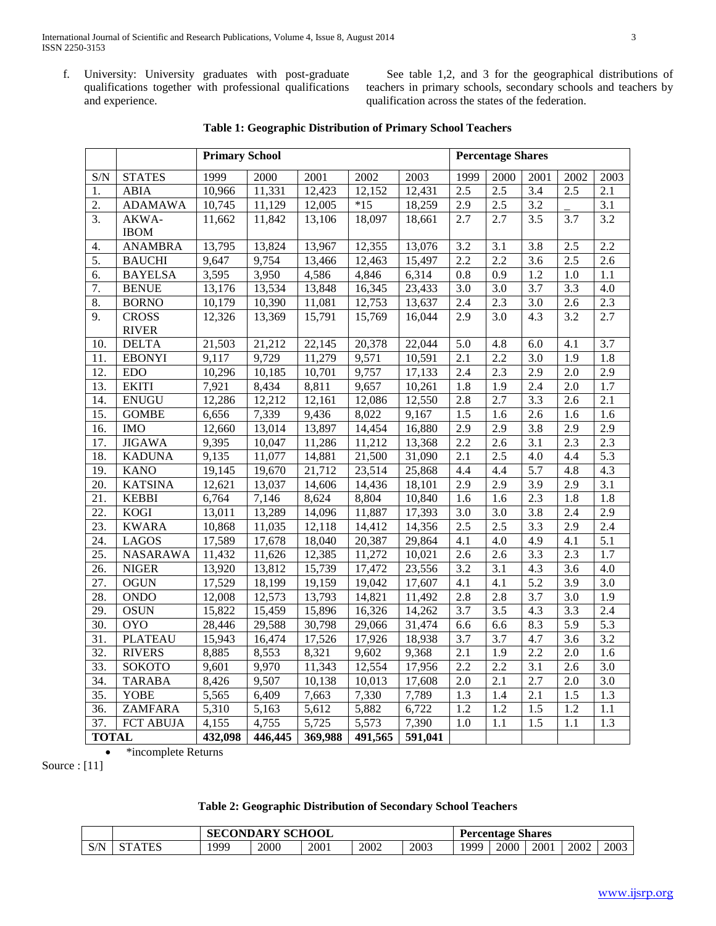f. University: University graduates with post-graduate qualifications together with professional qualifications and experience.

 See table 1,2, and 3 for the geographical distributions of teachers in primary schools, secondary schools and teachers by qualification across the states of the federation.

|                   |                  | <b>Primary School</b> |         |                      |         |         | <b>Percentage Shares</b> |                  |                  |                  |                  |
|-------------------|------------------|-----------------------|---------|----------------------|---------|---------|--------------------------|------------------|------------------|------------------|------------------|
| S/N               | <b>STATES</b>    | 1999                  | 2000    | 2001                 | 2002    | 2003    | 1999                     | 2000             | 2001             | 2002             | 2003             |
| 1.                | <b>ABIA</b>      | 10,966                | 11,331  | 12,423               | 12,152  | 12,431  | 2.5                      | 2.5              | 3.4              | 2.5              | 2.1              |
| $\overline{2}$ .  | <b>ADAMAWA</b>   | 10,745                | 11,129  | 12,005               | $*15$   | 18,259  | 2.9                      | 2.5              | 3.2              |                  | 3.1              |
| 3.                | AKWA-            | 11,662                | 11,842  | 13,106               | 18,097  | 18,661  | 2.7                      | 2.7              | 3.5              | 3.7              | 3.2              |
|                   | <b>IBOM</b>      |                       |         |                      |         |         |                          |                  |                  |                  |                  |
| 4.                | <b>ANAMBRA</b>   | 13,795                | 13,824  | 13,967               | 12,355  | 13,076  | 3.2                      | 3.1              | 3.8              | 2.5              | 2.2              |
| 5.                | <b>BAUCHI</b>    | 9,647                 | 9,754   | 13,466               | 12,463  | 15,497  | 2.2                      | 2.2              | 3.6              | 2.5              | 2.6              |
| 6.                | <b>BAYELSA</b>   | 3,595                 | 3,950   | 4,586                | 4,846   | 6,314   | 0.8                      | 0.9              | 1.2              | 1.0              | $1.1\,$          |
| 7.                | <b>BENUE</b>     | 13,176                | 13,534  | 13,848               | 16,345  | 23,433  | 3.0                      | 3.0              | 3.7              | 3.3              | 4.0              |
| 8.                | <b>BORNO</b>     | 10,179                | 10,390  | 11,081               | 12,753  | 13,637  | 2.4                      | 2.3              | 3.0              | 2.6              | 2.3              |
| 9.                | <b>CROSS</b>     | 12,326                | 13,369  | 15,791               | 15,769  | 16,044  | 2.9                      | 3.0              | 4.3              | 3.2              | 2.7              |
|                   | <b>RIVER</b>     |                       |         |                      |         |         |                          |                  |                  |                  |                  |
| 10.               | <b>DELTA</b>     | 21,503                | 21,212  | 22,145               | 20,378  | 22,044  | 5.0                      | 4.8              | 6.0              | 4.1              | $\overline{3.7}$ |
| 11.               | <b>EBONYI</b>    | 9,117                 | 9,729   | 11,279               | 9,571   | 10,591  | 2.1                      | 2.2              | 3.0              | 1.9              | 1.8              |
| 12.               | <b>EDO</b>       | 10,296                | 10,185  | 10,701               | 9,757   | 17,133  | 2.4                      | 2.3              | 2.9              | 2.0              | 2.9              |
| 13.               | <b>EKITI</b>     | 7,921                 | 8,434   | 8,811                | 9,657   | 10,261  | 1.8                      | 1.9              | 2.4              | 2.0              | 1.7              |
| 14.               | <b>ENUGU</b>     | 12,286                | 12,212  | 12,161               | 12,086  | 12,550  | 2.8                      | 2.7              | $\overline{3.3}$ | 2.6              | 2.1              |
| 15.               | <b>GOMBE</b>     | 6,656                 | 7,339   | 9,436                | 8,022   | 9,167   | 1.5                      | 1.6              | 2.6              | 1.6              | 1.6              |
| 16.               | <b>IMO</b>       | 12,660                | 13,014  | 13,897               | 14,454  | 16,880  | 2.9                      | 2.9              | 3.8              | 2.9              | 2.9              |
| 17.               | <b>JIGAWA</b>    | 9,395                 | 10,047  | 11,286               | 11,212  | 13,368  | 2.2                      | 2.6              | 3.1              | 2.3              | 2.3              |
| 18.               | <b>KADUNA</b>    | 9,135                 | 11,077  | 14,881               | 21,500  | 31,090  | 2.1                      | 2.5              | 4.0              | 4.4              | 5.3              |
| 19.               | <b>KANO</b>      | 19,145                | 19,670  | 21,712               | 23,514  | 25,868  | 4.4                      | 4.4              | $\overline{5.7}$ | 4.8              | 4.3              |
| 20.               | <b>KATSINA</b>   | 12,621                | 13,037  | 14,606               | 14,436  | 18,101  | 2.9                      | 2.9              | 3.9              | 2.9              | 3.1              |
| 21.               | <b>KEBBI</b>     | 6,764                 | 7,146   | 8,624                | 8,804   | 10,840  | 1.6                      | 1.6              | 2.3              | 1.8              | 1.8              |
| 22.               | <b>KOGI</b>      | 13,011                | 13,289  | $\overline{1}$ 4,096 | 11,887  | 17,393  | 3.0                      | 3.0              | 3.8              | 2.4              | 2.9              |
| 23.               | <b>KWARA</b>     | 10,868                | 11,035  | 12,118               | 14,412  | 14,356  | 2.5                      | 2.5              | 3.3              | 2.9              | 2.4              |
| 24.               | LAGOS            | 17,589                | 17,678  | 18,040               | 20,387  | 29,864  | 4.1                      | 4.0              | 4.9              | 4.1              | 5.1              |
| $\overline{25}$ . | <b>NASARAWA</b>  | 11,432                | 11,626  | 12,385               | 11,272  | 10,021  | 2.6                      | 2.6              | 3.3              | 2.3              | 1.7              |
| 26.               | <b>NIGER</b>     | 13,920                | 13,812  | 15,739               | 17,472  | 23,556  | 3.2                      | 3.1              | 4.3              | 3.6              | 4.0              |
| 27.               | <b>OGUN</b>      | 17,529                | 18,199  | 19,159               | 19,042  | 17,607  | 4.1                      | 4.1              | 5.2              | 3.9              | 3.0              |
| 28.               | <b>ONDO</b>      | 12,008                | 12,573  | 13,793               | 14,821  | 11,492  | 2.8                      | 2.8              | 3.7              | 3.0              | 1.9              |
| 29.               | <b>OSUN</b>      | 15,822                | 15,459  | 15,896               | 16,326  | 14,262  | 3.7                      | 3.5              | 4.3              | 3.3              | 2.4              |
| 30.               | <b>OYO</b>       | 28,446                | 29,588  | 30,798               | 29,066  | 31,474  | 6.6                      | 6.6              | 8.3              | 5.9              | $\overline{5.3}$ |
| 31.               | <b>PLATEAU</b>   | 15,943                | 16,474  | 17,526               | 17,926  | 18,938  | 3.7                      | 3.7              | 4.7              | 3.6              | 3.2              |
| 32.               | <b>RIVERS</b>    | 8,885                 | 8,553   | 8,321                | 9,602   | 9,368   | 2.1                      | 1.9              | 2.2              | 2.0              | 1.6              |
| 33.               | SOKOTO           | 9,601                 | 9,970   | 11,343               | 12,554  | 17,956  | 2.2                      | 2.2              | 3.1              | 2.6              | 3.0              |
| 34.               | <b>TARABA</b>    | 8,426                 | 9,507   | 10,138               | 10,013  | 17,608  | 2.0                      | 2.1              | 2.7              | 2.0              | 3.0              |
| $\overline{35}$ . | YOBE             | 5,565                 | 6,409   | 7,663                | 7,330   | 7,789   | $\overline{1.3}$         | 1.4              | $\overline{2.1}$ | 1.5              | $\overline{1.3}$ |
| 36.               | <b>ZAMFARA</b>   | 5,310                 | 5,163   | 5,612                | 5,882   | 6,722   | 1.2                      | 1.2              | 1.5              | 1.2              | 1.1              |
| 37.               | <b>FCT ABUJA</b> | 4,155                 | 4,755   | 5,725                | 5,573   | 7,390   | $\overline{1.0}$         | $\overline{1.1}$ | $\overline{1.5}$ | $\overline{1.1}$ | 1.3              |
| <b>TOTAL</b>      |                  | 432,098               | 446,445 | 369,988              | 491,565 | 591,041 |                          |                  |                  |                  |                  |

## **Table 1: Geographic Distribution of Primary School Teachers**

\*incomplete Returns

Source : [11]

## **Table 2: Geographic Distribution of Secondary School Teachers**

|     |               | <b>SECONDARY SCHOOL</b> |      |      |      |      | <b>Percentage Shares</b> |      |      |      |      |  |
|-----|---------------|-------------------------|------|------|------|------|--------------------------|------|------|------|------|--|
| S/N | <b>STATES</b> | 1999                    | 2000 | 2001 | 2002 | 2003 | 1000                     | 2000 | 2001 | 2002 | 2003 |  |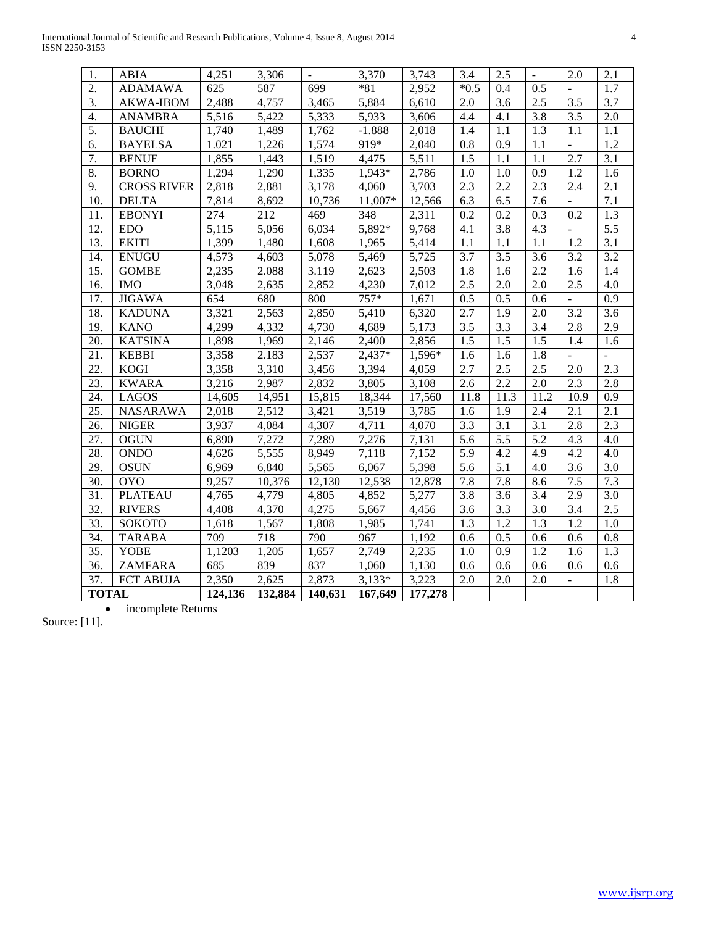| 1.               | <b>ABIA</b>        | 4,251   | 3,306   | $\overline{\phantom{a}}$ | 3,370    | 3,743   | 3.4    | 2.5  | $\overline{a}$ | 2.0            | 2.1              |
|------------------|--------------------|---------|---------|--------------------------|----------|---------|--------|------|----------------|----------------|------------------|
| 2.               | <b>ADAMAWA</b>     | 625     | 587     | 699                      | $*81$    | 2,952   | $*0.5$ | 0.4  | 0.5            |                | 1.7              |
| $\overline{3}$ . | <b>AKWA-IBOM</b>   | 2,488   | 4,757   | 3,465                    | 5,884    | 6,610   | 2.0    | 3.6  | 2.5            | 3.5            | 3.7              |
| $\mathbf{4}$     | <b>ANAMBRA</b>     | 5,516   | 5,422   | 5,333                    | 5,933    | 3,606   | 4.4    | 4.1  | 3.8            | 3.5            | 2.0              |
| 5.               | <b>BAUCHI</b>      | 1,740   | 1,489   | 1,762                    | $-1.888$ | 2,018   | 1.4    | 1.1  | 1.3            | 1.1            | 1.1              |
| 6.               | <b>BAYELSA</b>     | 1.021   | 1,226   | 1,574                    | 919*     | 2,040   | 0.8    | 0.9  | 1.1            | $\overline{a}$ | 1.2              |
| 7.               | <b>BENUE</b>       | 1,855   | 1,443   | 1,519                    | 4,475    | 5,511   | 1.5    | 1.1  | 1.1            | 2.7            | 3.1              |
| 8.               | <b>BORNO</b>       | 1,294   | 1,290   | 1,335                    | 1,943*   | 2,786   | 1.0    | 1.0  | 0.9            | 1.2            | 1.6              |
| 9.               | <b>CROSS RIVER</b> | 2,818   | 2,881   | 3,178                    | 4,060    | 3,703   | 2.3    | 2.2  | 2.3            | 2.4            | 2.1              |
| 10.              | <b>DELTA</b>       | 7,814   | 8,692   | 10,736                   | 11,007*  | 12,566  | 6.3    | 6.5  | 7.6            |                | $\overline{7.1}$ |
| 11.              | <b>EBONYI</b>      | 274     | 212     | 469                      | 348      | 2,311   | 0.2    | 0.2  | 0.3            | 0.2            | 1.3              |
| 12.              | <b>EDO</b>         | 5,115   | 5,056   | 6,034                    | 5,892*   | 9,768   | 4.1    | 3.8  | 4.3            |                | $\overline{5.5}$ |
| 13.              | <b>EKITI</b>       | 1,399   | 1,480   | 1,608                    | 1,965    | 5,414   | 1.1    | 1.1  | 1.1            | 1.2            | 3.1              |
| 14.              | <b>ENUGU</b>       | 4,573   | 4,603   | 5,078                    | 5,469    | 5,725   | 3.7    | 3.5  | 3.6            | 3.2            | 3.2              |
| 15.              | <b>GOMBE</b>       | 2,235   | 2.088   | 3.119                    | 2,623    | 2,503   | 1.8    | 1.6  | 2.2            | 1.6            | 1.4              |
| 16.              | <b>IMO</b>         | 3,048   | 2,635   | 2,852                    | 4,230    | 7,012   | 2.5    | 2.0  | 2.0            | 2.5            | 4.0              |
| 17.              | <b>JIGAWA</b>      | 654     | 680     | 800                      | 757*     | 1,671   | 0.5    | 0.5  | 0.6            | $\overline{a}$ | 0.9              |
| 18.              | <b>KADUNA</b>      | 3,321   | 2,563   | 2,850                    | 5,410    | 6,320   | 2.7    | 1.9  | 2.0            | 3.2            | 3.6              |
| 19.              | <b>KANO</b>        | 4,299   | 4,332   | 4,730                    | 4,689    | 5,173   | 3.5    | 3.3  | 3.4            | 2.8            | 2.9              |
| 20.              | <b>KATSINA</b>     | 1,898   | 1,969   | 2,146                    | 2,400    | 2,856   | 1.5    | 1.5  | 1.5            | 1.4            | 1.6              |
| 21.              | <b>KEBBI</b>       | 3,358   | 2.183   | 2,537                    | 2,437*   | 1,596*  | 1.6    | 1.6  | 1.8            | $\overline{a}$ | $\overline{a}$   |
| 22.              | <b>KOGI</b>        | 3,358   | 3,310   | 3,456                    | 3,394    | 4,059   | 2.7    | 2.5  | 2.5            | 2.0            | 2.3              |
| 23.              | <b>KWARA</b>       | 3,216   | 2,987   | 2,832                    | 3,805    | 3,108   | 2.6    | 2.2  | 2.0            | 2.3            | 2.8              |
| 24.              | <b>LAGOS</b>       | 14,605  | 14,951  | 15,815                   | 18,344   | 17,560  | 11.8   | 11.3 | 11.2           | 10.9           | 0.9              |
| 25.              | <b>NASARAWA</b>    | 2,018   | 2,512   | 3,421                    | 3,519    | 3,785   | 1.6    | 1.9  | 2.4            | 2.1            | 2.1              |
| 26.              | <b>NIGER</b>       | 3,937   | 4,084   | 4,307                    | 4,711    | 4,070   | 3.3    | 3.1  | 3.1            | 2.8            | 2.3              |
| 27.              | <b>OGUN</b>        | 6,890   | 7,272   | 7,289                    | 7,276    | 7,131   | 5.6    | 5.5  | 5.2            | 4.3            | 4.0              |
| 28.              | <b>ONDO</b>        | 4,626   | 5,555   | 8,949                    | 7,118    | 7,152   | 5.9    | 4.2  | 4.9            | 4.2            | 4.0              |
| 29.              | <b>OSUN</b>        | 6,969   | 6,840   | 5,565                    | 6,067    | 5,398   | 5.6    | 5.1  | 4.0            | 3.6            | 3.0              |
| 30.              | <b>OYO</b>         | 9,257   | 10,376  | 12,130                   | 12,538   | 12,878  | 7.8    | 7.8  | 8.6            | 7.5            | 7.3              |
| 31.              | <b>PLATEAU</b>     | 4,765   | 4,779   | 4,805                    | 4,852    | 5,277   | 3.8    | 3.6  | 3.4            | 2.9            | 3.0              |
| 32.              | <b>RIVERS</b>      | 4,408   | 4,370   | 4,275                    | 5,667    | 4,456   | 3.6    | 3.3  | 3.0            | 3.4            | 2.5              |
| 33.              | SOKOTO             | 1,618   | 1,567   | 1,808                    | 1,985    | 1,741   | 1.3    | 1.2  | 1.3            | 1.2            | 1.0              |
| 34.              | <b>TARABA</b>      | 709     | 718     | 790                      | 967      | 1,192   | 0.6    | 0.5  | 0.6            | 0.6            | 0.8              |
| 35.              | <b>YOBE</b>        | 1,1203  | 1,205   | 1,657                    | 2,749    | 2,235   | 1.0    | 0.9  | 1.2            | 1.6            | 1.3              |
| 36.              | <b>ZAMFARA</b>     | 685     | 839     | 837                      | 1,060    | 1,130   | 0.6    | 0.6  | 0.6            | 0.6            | 0.6              |
| 37.              | <b>FCT ABUJA</b>   | 2,350   | 2,625   | 2,873                    | $3,133*$ | 3,223   | 2.0    | 2.0  | 2.0            | ÷,             | 1.8              |
| <b>TOTAL</b>     |                    | 124,136 | 132,884 | 140,631                  | 167,649  | 177,278 |        |      |                |                |                  |

• incomplete Returns

Source: [11].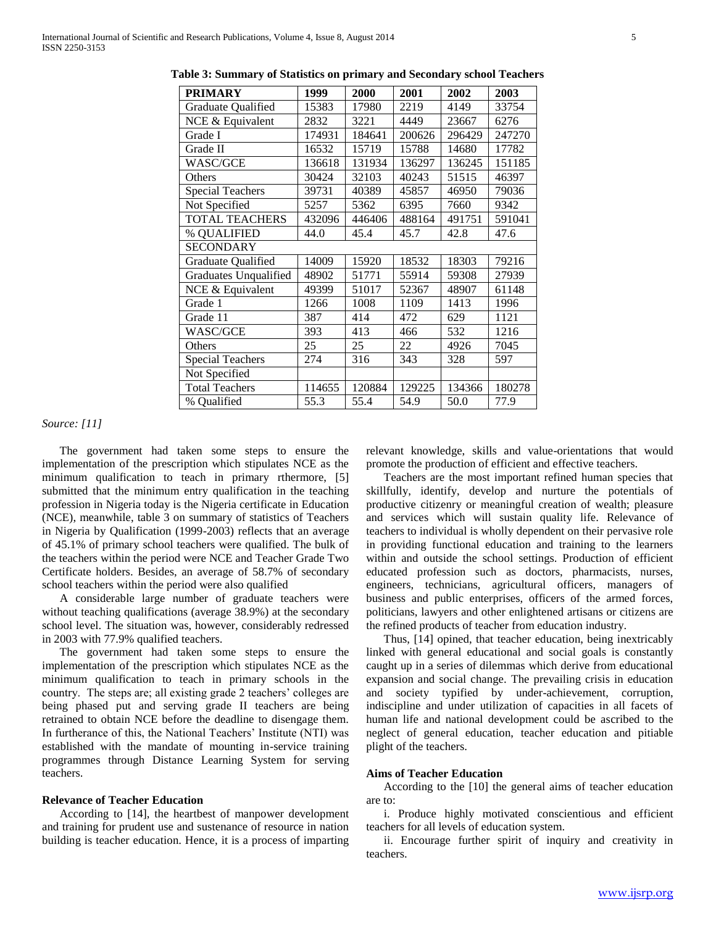| <b>PRIMARY</b>          | 1999   | 2000   | 2001   | 2002   | 2003   |  |  |
|-------------------------|--------|--------|--------|--------|--------|--|--|
| Graduate Qualified      | 15383  | 17980  | 2219   | 4149   | 33754  |  |  |
| NCE & Equivalent        | 2832   | 3221   | 4449   | 23667  | 6276   |  |  |
| Grade I                 | 174931 | 184641 | 200626 | 296429 | 247270 |  |  |
| Grade II                | 16532  | 15719  | 15788  | 14680  | 17782  |  |  |
| WASC/GCE                | 136618 | 131934 | 136297 | 136245 | 151185 |  |  |
| Others                  | 30424  | 32103  | 40243  | 51515  | 46397  |  |  |
| <b>Special Teachers</b> | 39731  | 40389  | 45857  | 46950  | 79036  |  |  |
| Not Specified           | 5257   | 5362   | 6395   | 7660   | 9342   |  |  |
| <b>TOTAL TEACHERS</b>   | 432096 | 446406 | 488164 | 491751 | 591041 |  |  |
| % QUALIFIED             | 44.0   | 45.4   | 45.7   | 42.8   | 47.6   |  |  |
| <b>SECONDARY</b>        |        |        |        |        |        |  |  |
| Graduate Qualified      | 14009  | 15920  | 18532  | 18303  | 79216  |  |  |
| Graduates Unqualified   | 48902  | 51771  | 55914  | 59308  | 27939  |  |  |
| NCE & Equivalent        | 49399  | 51017  | 52367  | 48907  | 61148  |  |  |
| Grade 1                 | 1266   | 1008   | 1109   | 1413   | 1996   |  |  |
| Grade 11                | 387    | 414    | 472    | 629    | 1121   |  |  |
| WASC/GCE                | 393    | 413    | 466    | 532    | 1216   |  |  |
| Others                  | 25     | 25     | 22     | 4926   | 7045   |  |  |
| <b>Special Teachers</b> | 274    | 316    | 343    | 328    | 597    |  |  |
| Not Specified           |        |        |        |        |        |  |  |
| <b>Total Teachers</b>   | 114655 | 120884 | 129225 | 134366 | 180278 |  |  |
| % Qualified             | 55.3   | 55.4   | 54.9   | 50.0   | 77.9   |  |  |

**Table 3: Summary of Statistics on primary and Secondary school Teachers**

#### *Source: [11]*

 The government had taken some steps to ensure the implementation of the prescription which stipulates NCE as the minimum qualification to teach in primary rthermore, [5] submitted that the minimum entry qualification in the teaching profession in Nigeria today is the Nigeria certificate in Education (NCE), meanwhile, table 3 on summary of statistics of Teachers in Nigeria by Qualification (1999-2003) reflects that an average of 45.1% of primary school teachers were qualified. The bulk of the teachers within the period were NCE and Teacher Grade Two Certificate holders. Besides, an average of 58.7% of secondary school teachers within the period were also qualified

 A considerable large number of graduate teachers were without teaching qualifications (average 38.9%) at the secondary school level. The situation was, however, considerably redressed in 2003 with 77.9% qualified teachers.

 The government had taken some steps to ensure the implementation of the prescription which stipulates NCE as the minimum qualification to teach in primary schools in the country. The steps are; all existing grade 2 teachers' colleges are being phased put and serving grade II teachers are being retrained to obtain NCE before the deadline to disengage them. In furtherance of this, the National Teachers' Institute (NTI) was established with the mandate of mounting in-service training programmes through Distance Learning System for serving teachers.

#### **Relevance of Teacher Education**

 According to [14], the heartbest of manpower development and training for prudent use and sustenance of resource in nation building is teacher education. Hence, it is a process of imparting

relevant knowledge, skills and value-orientations that would promote the production of efficient and effective teachers.

 Teachers are the most important refined human species that skillfully, identify, develop and nurture the potentials of productive citizenry or meaningful creation of wealth; pleasure and services which will sustain quality life. Relevance of teachers to individual is wholly dependent on their pervasive role in providing functional education and training to the learners within and outside the school settings. Production of efficient educated profession such as doctors, pharmacists, nurses, engineers, technicians, agricultural officers, managers of business and public enterprises, officers of the armed forces, politicians, lawyers and other enlightened artisans or citizens are the refined products of teacher from education industry.

 Thus, [14] opined, that teacher education, being inextricably linked with general educational and social goals is constantly caught up in a series of dilemmas which derive from educational expansion and social change. The prevailing crisis in education and society typified by under-achievement, corruption, indiscipline and under utilization of capacities in all facets of human life and national development could be ascribed to the neglect of general education, teacher education and pitiable plight of the teachers.

#### **Aims of Teacher Education**

 According to the [10] the general aims of teacher education are to:

 i. Produce highly motivated conscientious and efficient teachers for all levels of education system.

 ii. Encourage further spirit of inquiry and creativity in teachers.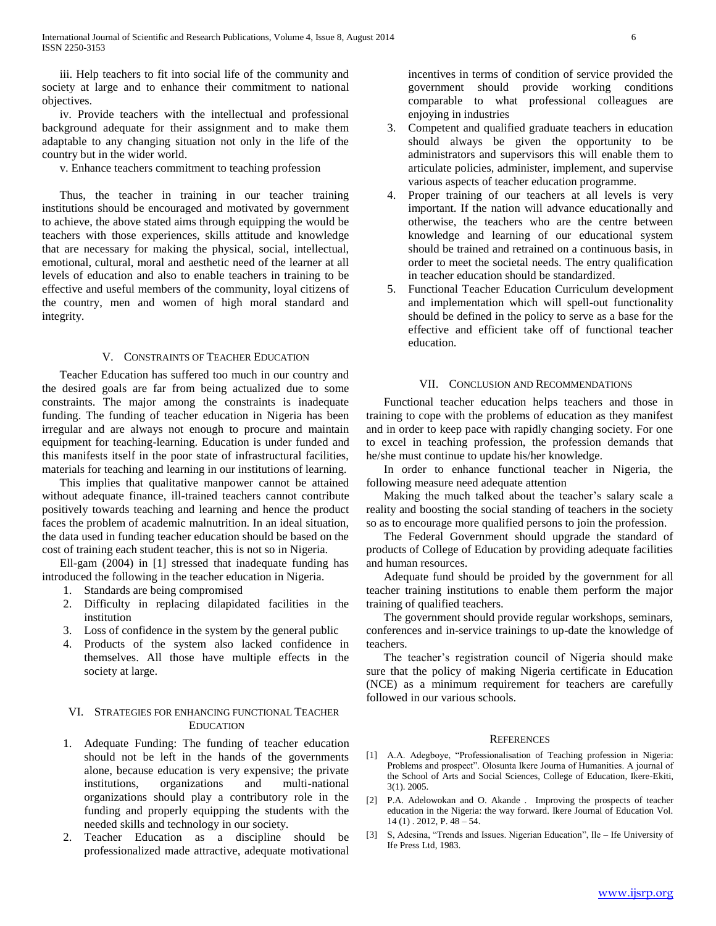iii. Help teachers to fit into social life of the community and society at large and to enhance their commitment to national objectives.

 iv. Provide teachers with the intellectual and professional background adequate for their assignment and to make them adaptable to any changing situation not only in the life of the country but in the wider world.

v. Enhance teachers commitment to teaching profession

 Thus, the teacher in training in our teacher training institutions should be encouraged and motivated by government to achieve, the above stated aims through equipping the would be teachers with those experiences, skills attitude and knowledge that are necessary for making the physical, social, intellectual, emotional, cultural, moral and aesthetic need of the learner at all levels of education and also to enable teachers in training to be effective and useful members of the community, loyal citizens of the country, men and women of high moral standard and integrity.

#### V. CONSTRAINTS OF TEACHER EDUCATION

 Teacher Education has suffered too much in our country and the desired goals are far from being actualized due to some constraints. The major among the constraints is inadequate funding. The funding of teacher education in Nigeria has been irregular and are always not enough to procure and maintain equipment for teaching-learning. Education is under funded and this manifests itself in the poor state of infrastructural facilities, materials for teaching and learning in our institutions of learning.

 This implies that qualitative manpower cannot be attained without adequate finance, ill-trained teachers cannot contribute positively towards teaching and learning and hence the product faces the problem of academic malnutrition. In an ideal situation, the data used in funding teacher education should be based on the cost of training each student teacher, this is not so in Nigeria.

 Ell-gam (2004) in [1] stressed that inadequate funding has introduced the following in the teacher education in Nigeria.

- 1. Standards are being compromised
- 2. Difficulty in replacing dilapidated facilities in the institution
- 3. Loss of confidence in the system by the general public
- 4. Products of the system also lacked confidence in themselves. All those have multiple effects in the society at large.

## VI. STRATEGIES FOR ENHANCING FUNCTIONAL TEACHER EDUCATION

- 1. Adequate Funding: The funding of teacher education should not be left in the hands of the governments alone, because education is very expensive; the private institutions, organizations and multi-national organizations should play a contributory role in the funding and properly equipping the students with the needed skills and technology in our society.
- 2. Teacher Education as a discipline should be professionalized made attractive, adequate motivational

incentives in terms of condition of service provided the government should provide working conditions comparable to what professional colleagues are enjoying in industries

- 3. Competent and qualified graduate teachers in education should always be given the opportunity to be administrators and supervisors this will enable them to articulate policies, administer, implement, and supervise various aspects of teacher education programme.
- 4. Proper training of our teachers at all levels is very important. If the nation will advance educationally and otherwise, the teachers who are the centre between knowledge and learning of our educational system should be trained and retrained on a continuous basis, in order to meet the societal needs. The entry qualification in teacher education should be standardized.
- 5. Functional Teacher Education Curriculum development and implementation which will spell-out functionality should be defined in the policy to serve as a base for the effective and efficient take off of functional teacher education.

#### VII. CONCLUSION AND RECOMMENDATIONS

 Functional teacher education helps teachers and those in training to cope with the problems of education as they manifest and in order to keep pace with rapidly changing society. For one to excel in teaching profession, the profession demands that he/she must continue to update his/her knowledge.

 In order to enhance functional teacher in Nigeria, the following measure need adequate attention

 Making the much talked about the teacher's salary scale a reality and boosting the social standing of teachers in the society so as to encourage more qualified persons to join the profession.

 The Federal Government should upgrade the standard of products of College of Education by providing adequate facilities and human resources.

 Adequate fund should be proided by the government for all teacher training institutions to enable them perform the major training of qualified teachers.

 The government should provide regular workshops, seminars, conferences and in-service trainings to up-date the knowledge of teachers.

 The teacher's registration council of Nigeria should make sure that the policy of making Nigeria certificate in Education (NCE) as a minimum requirement for teachers are carefully followed in our various schools.

#### **REFERENCES**

- [1] A.A. Adegboye, "Professionalisation of Teaching profession in Nigeria: Problems and prospect". Olosunta Ikere Journa of Humanities. A journal of the School of Arts and Social Sciences, College of Education, Ikere-Ekiti, 3(1). 2005.
- [2] P.A. Adelowokan and O. Akande . Improving the prospects of teacher education in the Nigeria: the way forward. Ikere Journal of Education Vol.  $14$  (1) . 2012, P.  $48 - 54$ .
- [3] S, Adesina, "Trends and Issues. Nigerian Education", Ile Ife University of Ife Press Ltd, 1983.